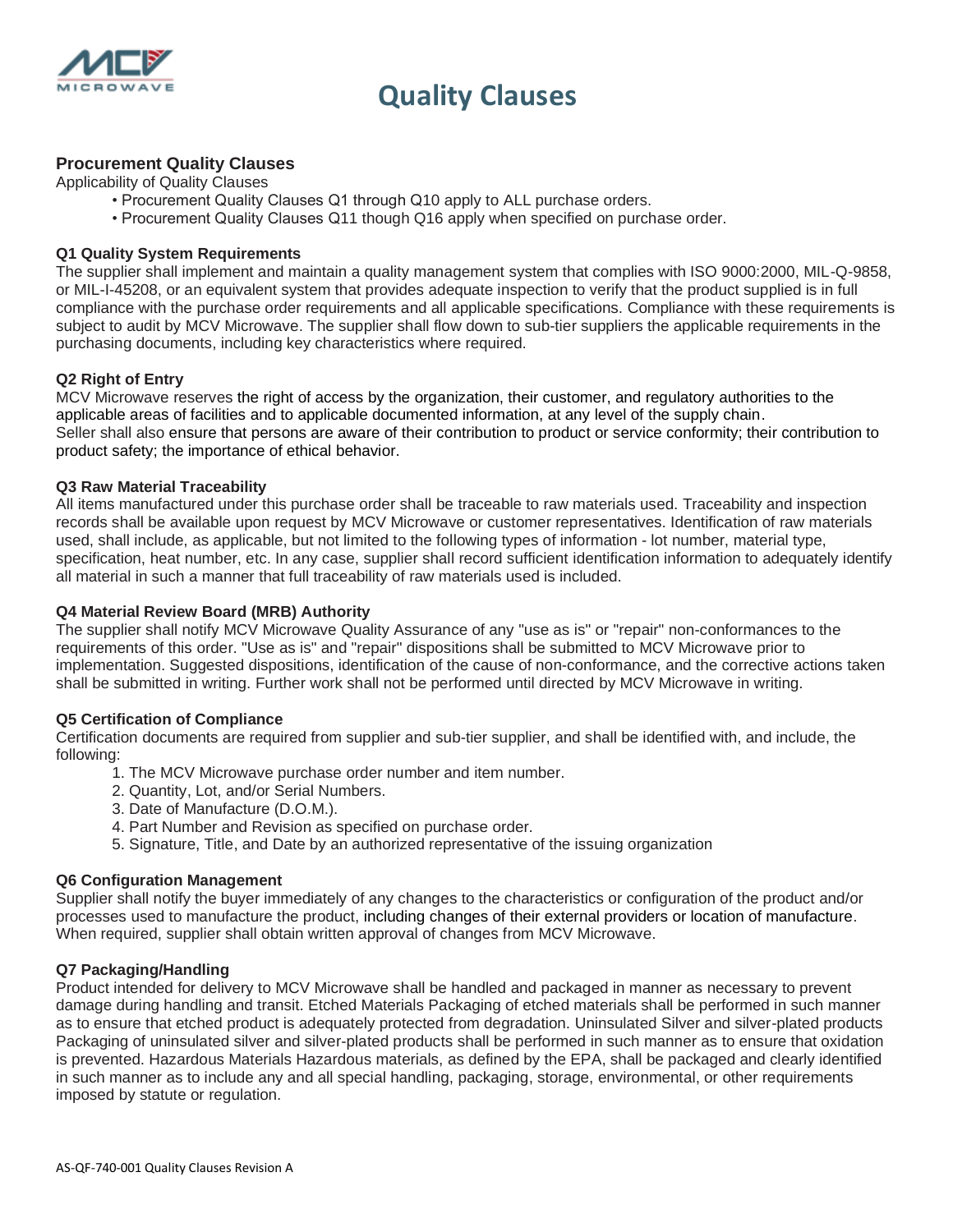

## **Quality Clauses**

## **Procurement Quality Clauses**

Applicability of Quality Clauses

- Procurement Quality Clauses Q1 through Q10 apply to ALL purchase orders.
- Procurement Quality Clauses Q11 though Q16 apply when specified on purchase order.

#### **Q1 Quality System Requirements**

The supplier shall implement and maintain a quality management system that complies with ISO 9000:2000, MIL-Q-9858, or MIL-I-45208, or an equivalent system that provides adequate inspection to verify that the product supplied is in full compliance with the purchase order requirements and all applicable specifications. Compliance with these requirements is subject to audit by MCV Microwave. The supplier shall flow down to sub-tier suppliers the applicable requirements in the purchasing documents, including key characteristics where required.

#### **Q2 Right of Entry**

MCV Microwave reserves the right of access by the organization, their customer, and regulatory authorities to the applicable areas of facilities and to applicable documented information, at any level of the supply chain. Seller shall also ensure that persons are aware of their contribution to product or service conformity; their contribution to product safety; the importance of ethical behavior.

#### **Q3 Raw Material Traceability**

All items manufactured under this purchase order shall be traceable to raw materials used. Traceability and inspection records shall be available upon request by MCV Microwave or customer representatives. Identification of raw materials used, shall include, as applicable, but not limited to the following types of information - lot number, material type, specification, heat number, etc. In any case, supplier shall record sufficient identification information to adequately identify all material in such a manner that full traceability of raw materials used is included.

#### **Q4 Material Review Board (MRB) Authority**

The supplier shall notify MCV Microwave Quality Assurance of any "use as is" or "repair" non-conformances to the requirements of this order. "Use as is" and "repair" dispositions shall be submitted to MCV Microwave prior to implementation. Suggested dispositions, identification of the cause of non-conformance, and the corrective actions taken shall be submitted in writing. Further work shall not be performed until directed by MCV Microwave in writing.

#### **Q5 Certification of Compliance**

Certification documents are required from supplier and sub-tier supplier, and shall be identified with, and include, the following:

- 1. The MCV Microwave purchase order number and item number.
- 2. Quantity, Lot, and/or Serial Numbers.
- 3. Date of Manufacture (D.O.M.).
- 4. Part Number and Revision as specified on purchase order.
- 5. Signature, Title, and Date by an authorized representative of the issuing organization

#### **Q6 Configuration Management**

Supplier shall notify the buyer immediately of any changes to the characteristics or configuration of the product and/or processes used to manufacture the product, including changes of their external providers or location of manufacture. When required, supplier shall obtain written approval of changes from MCV Microwave.

### **Q7 Packaging/Handling**

Product intended for delivery to MCV Microwave shall be handled and packaged in manner as necessary to prevent damage during handling and transit. Etched Materials Packaging of etched materials shall be performed in such manner as to ensure that etched product is adequately protected from degradation. Uninsulated Silver and silver-plated products Packaging of uninsulated silver and silver-plated products shall be performed in such manner as to ensure that oxidation is prevented. Hazardous Materials Hazardous materials, as defined by the EPA, shall be packaged and clearly identified in such manner as to include any and all special handling, packaging, storage, environmental, or other requirements imposed by statute or regulation.